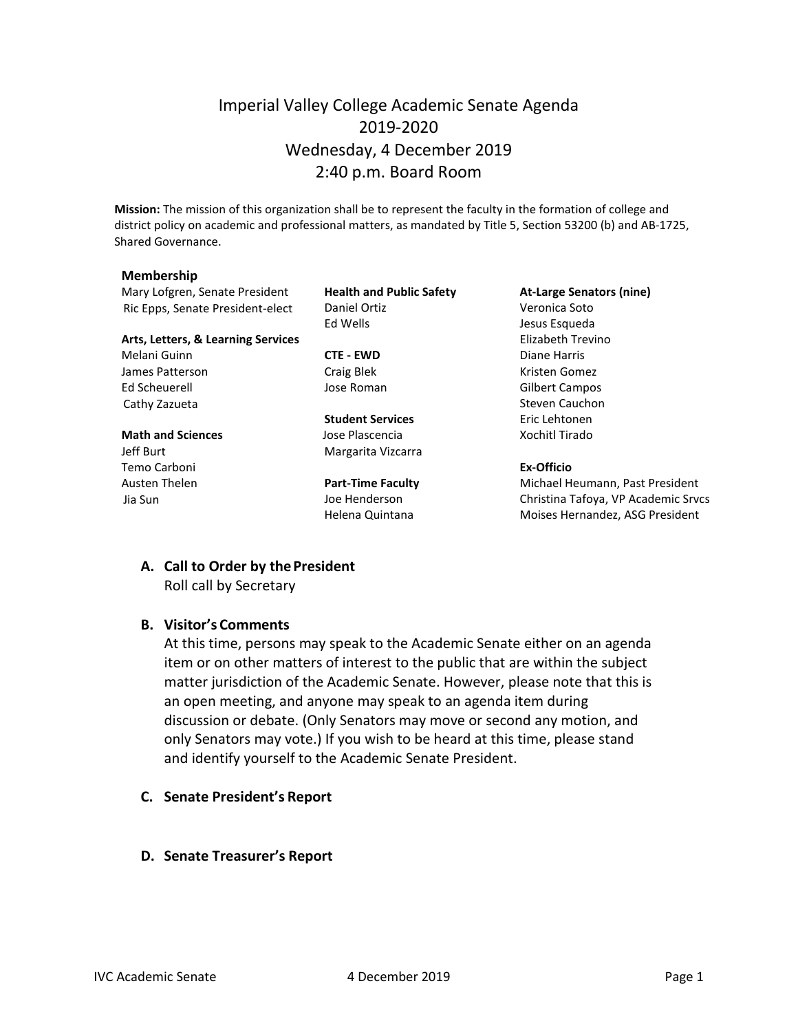## Imperial Valley College Academic Senate Agenda 2019-2020 Wednesday, 4 December 2019 2:40 p.m. Board Room

**Mission:** The mission of this organization shall be to represent the faculty in the formation of college and district policy on academic and professional matters, as mandated by Title 5, Section 53200 (b) and AB-1725, Shared Governance.

#### **Membership**

Mary Lofgren, Senate President **Health and Public Safety At-Large Senators (nine)** Ric Epps, Senate President-elect Daniel Ortiz Christian Muslem Veronica Soto

#### **Arts, Letters, & Learning Services** Elizabeth Trevino

Melani Guinn **CTE - EWD** Diane Harris James Patterson **Craig Blek** Craig Blek Kristen Gomez Ed Scheuerell Jose Roman Gilbert Campos Cathy Zazueta **Steven Cauchon** Steven Cauchon

Temo Carboni **Ex-Officio**

Ed Wells **Graduate Exception Except** Jesus Esqueda

**Student Services** Eric Lehtonen **Math and Sciences Contains Islam Jose Plascencia Xochitl Tirado** Jeff Burt **Margarita Vizcarra** 

Austen Thelen **Part-Time Faculty** Michael Heumann, Past President Jia Sun Joe Henderson Christina Tafoya, VP Academic Srvcs Helena Quintana **Moises Hernandez**, ASG President

# **A. Call to Order by thePresident**

Roll call by Secretary

### **B. Visitor's Comments**

At this time, persons may speak to the Academic Senate either on an agenda item or on other matters of interest to the public that are within the subject matter jurisdiction of the Academic Senate. However, please note that this is an open meeting, and anyone may speak to an agenda item during discussion or debate. (Only Senators may move or second any motion, and only Senators may vote.) If you wish to be heard at this time, please stand and identify yourself to the Academic Senate President.

- **C. Senate President's Report**
- **D. Senate Treasurer's Report**